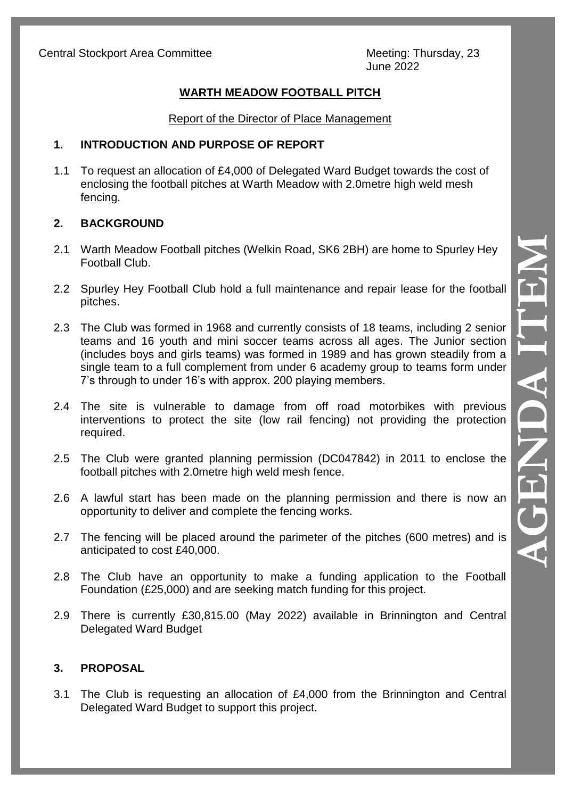June 2022

# **WARTH MEADOW FOOTBALL PITCH**

#### Report of the Director of Place Management

#### **1. INTRODUCTION AND PURPOSE OF REPORT**

1.1 To request an allocation of £4,000 of Delegated Ward Budget towards the cost of enclosing the football pitches at Warth Meadow with 2.0metre high weld mesh fencing.

## **2. BACKGROUND**

- 2.1 Warth Meadow Football pitches (Welkin Road, SK6 2BH) are home to Spurley Hey Football Club.
- 2.2 Spurley Hey Football Club hold a full maintenance and repair lease for the football pitches.
- 2.3 The Club was formed in 1968 and currently consists of 18 teams, including 2 senior teams and 16 youth and mini soccer teams across all ages. The Junior section (includes boys and girls teams) was formed in 1989 and has grown steadily from a single team to a full complement from under 6 academy group to teams form under 7's through to under 16's with approx. 200 playing members.
- 2.4 The site is vulnerable to damage from off road motorbikes with previous interventions to protect the site (low rail fencing) not providing the protection required.
- 2.5 The Club were granted planning permission (DC047842) in 2011 to enclose the football pitches with 2.0metre high weld mesh fence.
- 2.6 A lawful start has been made on the planning permission and there is now an opportunity to deliver and complete the fencing works.
- 2.7 The fencing will be placed around the parimeter of the pitches (600 metres) and is anticipated to cost £40,000.
- 2.8 The Club have an opportunity to make a funding application to the Football Foundation (£25,000) and are seeking match funding for this project.
- 2.9 There is currently £30,815.00 (May 2022) available in Brinnington and Central Delegated Ward Budget

## **3. PROPOSAL**

3.1 The Club is requesting an allocation of £4,000 from the Brinnington and Central Delegated Ward Budget to support this project.